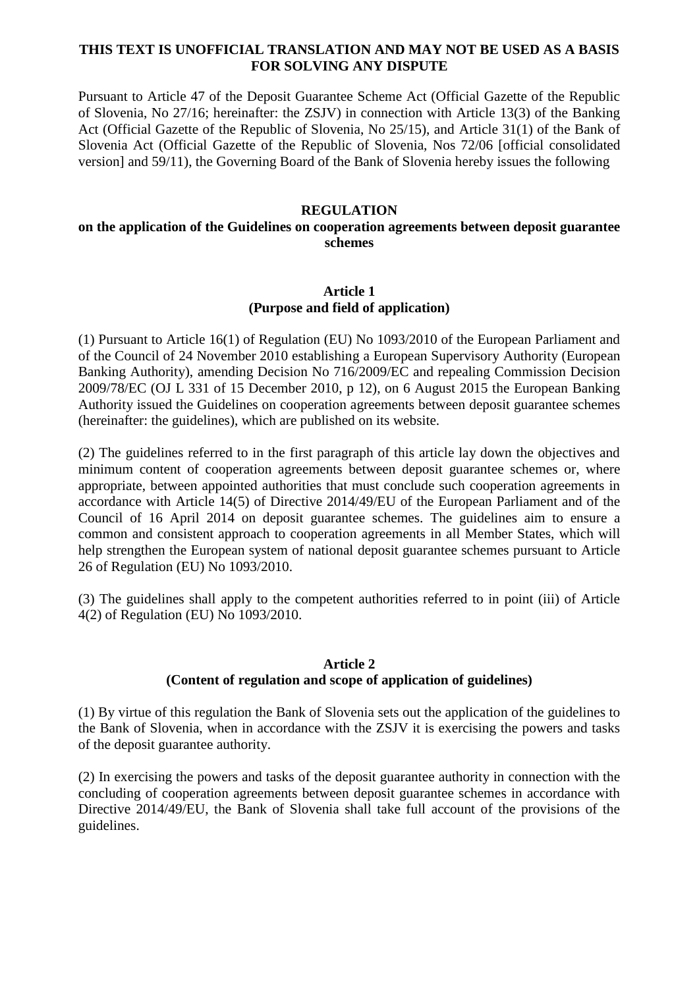## **THIS TEXT IS UNOFFICIAL TRANSLATION AND MAY NOT BE USED AS A BASIS FOR SOLVING ANY DISPUTE**

Pursuant to Article 47 of the Deposit Guarantee Scheme Act (Official Gazette of the Republic of Slovenia, No 27/16; hereinafter: the ZSJV) in connection with Article 13(3) of the Banking Act (Official Gazette of the Republic of Slovenia, No 25/15), and Article 31(1) of the Bank of Slovenia Act (Official Gazette of the Republic of Slovenia, Nos 72/06 [official consolidated version] and 59/11), the Governing Board of the Bank of Slovenia hereby issues the following

## **REGULATION**

# **on the application of the Guidelines on cooperation agreements between deposit guarantee schemes**

## **Article 1 (Purpose and field of application)**

(1) Pursuant to Article 16(1) of Regulation (EU) No 1093/2010 of the European Parliament and of the Council of 24 November 2010 establishing a European Supervisory Authority (European Banking Authority), amending Decision No 716/2009/EC and repealing Commission Decision 2009/78/EC (OJ L 331 of 15 December 2010, p 12), on 6 August 2015 the European Banking Authority issued the Guidelines on cooperation agreements between deposit guarantee schemes (hereinafter: the guidelines), which are published on its website.

(2) The guidelines referred to in the first paragraph of this article lay down the objectives and minimum content of cooperation agreements between deposit guarantee schemes or, where appropriate, between appointed authorities that must conclude such cooperation agreements in accordance with Article 14(5) of Directive 2014/49/EU of the European Parliament and of the Council of 16 April 2014 on deposit guarantee schemes. The guidelines aim to ensure a common and consistent approach to cooperation agreements in all Member States, which will help strengthen the European system of national deposit guarantee schemes pursuant to Article 26 of Regulation (EU) No 1093/2010.

(3) The guidelines shall apply to the competent authorities referred to in point (iii) of Article 4(2) of Regulation (EU) No 1093/2010.

## **Article 2 (Content of regulation and scope of application of guidelines)**

(1) By virtue of this regulation the Bank of Slovenia sets out the application of the guidelines to the Bank of Slovenia, when in accordance with the ZSJV it is exercising the powers and tasks of the deposit guarantee authority.

(2) In exercising the powers and tasks of the deposit guarantee authority in connection with the concluding of cooperation agreements between deposit guarantee schemes in accordance with Directive 2014/49/EU, the Bank of Slovenia shall take full account of the provisions of the guidelines.